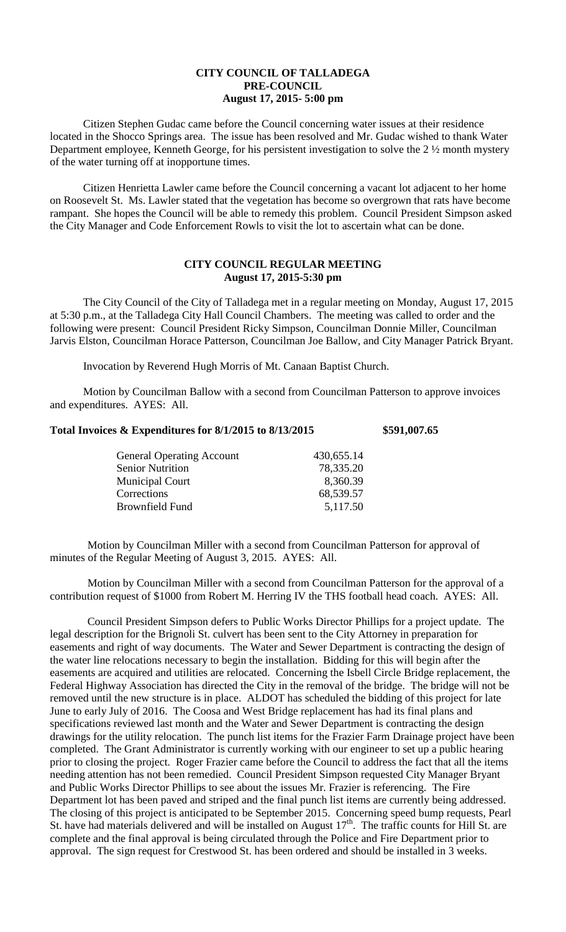## **CITY COUNCIL OF TALLADEGA PRE-COUNCIL August 17, 2015- 5:00 pm**

Citizen Stephen Gudac came before the Council concerning water issues at their residence located in the Shocco Springs area. The issue has been resolved and Mr. Gudac wished to thank Water Department employee, Kenneth George, for his persistent investigation to solve the 2 ½ month mystery of the water turning off at inopportune times.

Citizen Henrietta Lawler came before the Council concerning a vacant lot adjacent to her home on Roosevelt St. Ms. Lawler stated that the vegetation has become so overgrown that rats have become rampant. She hopes the Council will be able to remedy this problem. Council President Simpson asked the City Manager and Code Enforcement Rowls to visit the lot to ascertain what can be done.

## **CITY COUNCIL REGULAR MEETING August 17, 2015-5:30 pm**

The City Council of the City of Talladega met in a regular meeting on Monday, August 17, 2015 at 5:30 p.m., at the Talladega City Hall Council Chambers. The meeting was called to order and the following were present: Council President Ricky Simpson, Councilman Donnie Miller, Councilman Jarvis Elston, Councilman Horace Patterson, Councilman Joe Ballow, and City Manager Patrick Bryant.

Invocation by Reverend Hugh Morris of Mt. Canaan Baptist Church.

Motion by Councilman Ballow with a second from Councilman Patterson to approve invoices and expenditures. AYES: All.

| Total Invoices & Expenditures for 8/1/2015 to 8/13/2015 | \$591,007.65 |
|---------------------------------------------------------|--------------|
|---------------------------------------------------------|--------------|

| <b>General Operating Account</b> | 430,655.14 |
|----------------------------------|------------|
| <b>Senior Nutrition</b>          | 78,335.20  |
| <b>Municipal Court</b>           | 8,360.39   |
| Corrections                      | 68,539.57  |
| Brownfield Fund                  | 5,117.50   |
|                                  |            |

Motion by Councilman Miller with a second from Councilman Patterson for approval of minutes of the Regular Meeting of August 3, 2015. AYES: All.

Motion by Councilman Miller with a second from Councilman Patterson for the approval of a contribution request of \$1000 from Robert M. Herring IV the THS football head coach. AYES: All.

Council President Simpson defers to Public Works Director Phillips for a project update. The legal description for the Brignoli St. culvert has been sent to the City Attorney in preparation for easements and right of way documents. The Water and Sewer Department is contracting the design of the water line relocations necessary to begin the installation. Bidding for this will begin after the easements are acquired and utilities are relocated. Concerning the Isbell Circle Bridge replacement, the Federal Highway Association has directed the City in the removal of the bridge. The bridge will not be removed until the new structure is in place. ALDOT has scheduled the bidding of this project for late June to early July of 2016. The Coosa and West Bridge replacement has had its final plans and specifications reviewed last month and the Water and Sewer Department is contracting the design drawings for the utility relocation. The punch list items for the Frazier Farm Drainage project have been completed. The Grant Administrator is currently working with our engineer to set up a public hearing prior to closing the project. Roger Frazier came before the Council to address the fact that all the items needing attention has not been remedied. Council President Simpson requested City Manager Bryant and Public Works Director Phillips to see about the issues Mr. Frazier is referencing. The Fire Department lot has been paved and striped and the final punch list items are currently being addressed. The closing of this project is anticipated to be September 2015. Concerning speed bump requests, Pearl St. have had materials delivered and will be installed on August 17<sup>th</sup>. The traffic counts for Hill St. are complete and the final approval is being circulated through the Police and Fire Department prior to approval. The sign request for Crestwood St. has been ordered and should be installed in 3 weeks.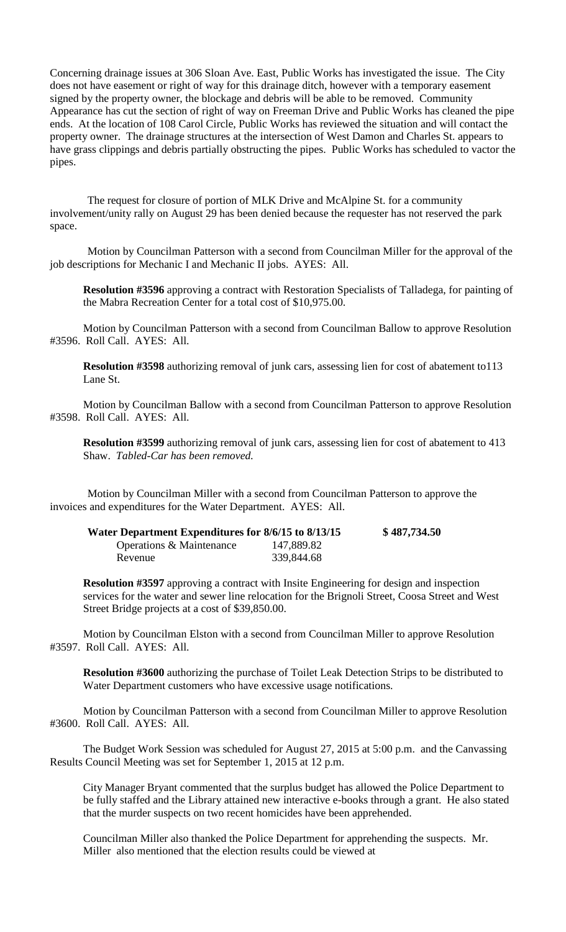Concerning drainage issues at 306 Sloan Ave. East, Public Works has investigated the issue. The City does not have easement or right of way for this drainage ditch, however with a temporary easement signed by the property owner, the blockage and debris will be able to be removed. Community Appearance has cut the section of right of way on Freeman Drive and Public Works has cleaned the pipe ends. At the location of 108 Carol Circle, Public Works has reviewed the situation and will contact the property owner. The drainage structures at the intersection of West Damon and Charles St. appears to have grass clippings and debris partially obstructing the pipes. Public Works has scheduled to vactor the pipes.

The request for closure of portion of MLK Drive and McAlpine St. for a community involvement/unity rally on August 29 has been denied because the requester has not reserved the park space.

Motion by Councilman Patterson with a second from Councilman Miller for the approval of the job descriptions for Mechanic I and Mechanic II jobs. AYES: All.

**Resolution #3596** approving a contract with Restoration Specialists of Talladega, for painting of the Mabra Recreation Center for a total cost of \$10,975.00.

Motion by Councilman Patterson with a second from Councilman Ballow to approve Resolution #3596. Roll Call. AYES: All.

**Resolution #3598** authorizing removal of junk cars, assessing lien for cost of abatement to113 Lane St.

Motion by Councilman Ballow with a second from Councilman Patterson to approve Resolution #3598. Roll Call. AYES: All.

**Resolution #3599** authorizing removal of junk cars, assessing lien for cost of abatement to 413 Shaw. *Tabled-Car has been removed.*

Motion by Councilman Miller with a second from Councilman Patterson to approve the invoices and expenditures for the Water Department. AYES: All.

| Water Department Expenditures for 8/6/15 to 8/13/15 |            | \$487,734.50 |
|-----------------------------------------------------|------------|--------------|
| Operations & Maintenance                            | 147,889.82 |              |
| Revenue                                             | 339,844.68 |              |

**Resolution #3597** approving a contract with Insite Engineering for design and inspection services for the water and sewer line relocation for the Brignoli Street, Coosa Street and West Street Bridge projects at a cost of \$39,850.00.

Motion by Councilman Elston with a second from Councilman Miller to approve Resolution #3597. Roll Call. AYES: All.

**Resolution #3600** authorizing the purchase of Toilet Leak Detection Strips to be distributed to Water Department customers who have excessive usage notifications.

Motion by Councilman Patterson with a second from Councilman Miller to approve Resolution #3600. Roll Call. AYES: All.

The Budget Work Session was scheduled for August 27, 2015 at 5:00 p.m. and the Canvassing Results Council Meeting was set for September 1, 2015 at 12 p.m.

City Manager Bryant commented that the surplus budget has allowed the Police Department to be fully staffed and the Library attained new interactive e-books through a grant. He also stated that the murder suspects on two recent homicides have been apprehended.

Councilman Miller also thanked the Police Department for apprehending the suspects. Mr. Miller also mentioned that the election results could be viewed at